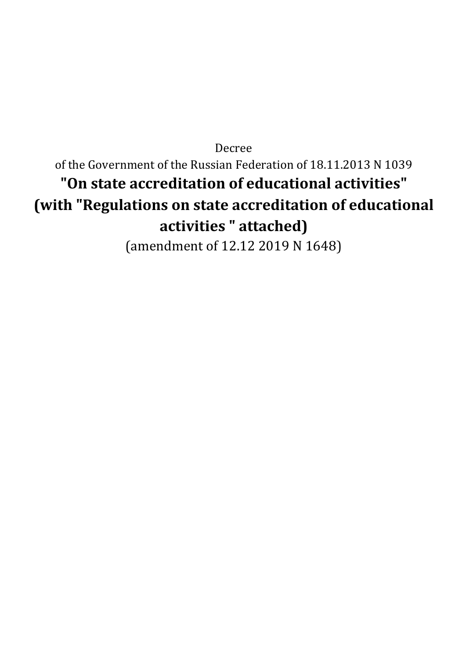Decree of the Government of the Russian Federation of 18.11.2013 N 1039 **"On state accreditation of educational activities" (with "Regulations on state accreditation of educational activities " attached)** (amendment of 12.12 2019 N 1648)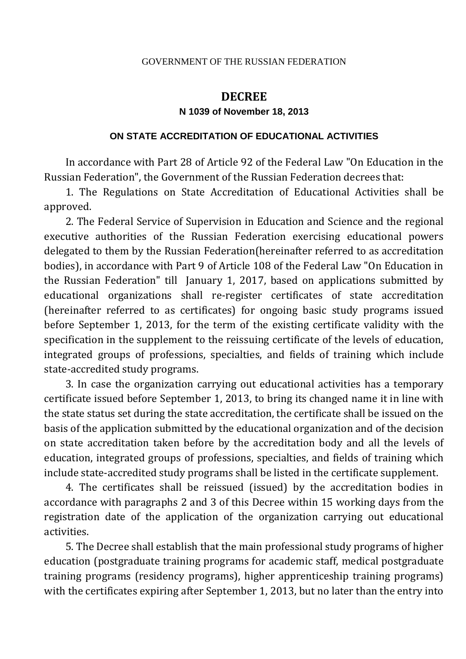#### GOVERNMENT OF THE RUSSIAN FEDERATION

# **DECREE**

#### **N 1039 of November 18, 2013**

#### **ON STATE ACCREDITATION OF EDUCATIONAL ACTIVITIES**

In accordance with Part 28 of Article 92 of the Federal Law "On Education in the Russian Federation", the Government of the Russian Federation decrees that:

1. The Regulations on State Accreditation of Educational Activities shall be approved.

2. The Federal Service of Supervision in Education and Science and the regional executive authorities of the Russian Federation exercising educational powers delegated to them by the Russian Federation(hereinafter referred to as accreditation bodies), in accordance with Part 9 of Article 108 of the Federal Law "On Education in the Russian Federation" till January 1, 2017, based on applications submitted by educational organizations shall re-register certificates of state accreditation (hereinafter referred to as certificates) for ongoing basic study programs issued before September 1, 2013, for the term of the existing certificate validity with the specification in the supplement to the reissuing certificate of the levels of education, integrated groups of professions, specialties, and fields of training which include state-accredited study programs.

3. In case the organization carrying out educational activities has a temporary certificate issued before September 1, 2013, to bring its changed name it in line with the state status set during the state accreditation, the certificate shall be issued on the basis of the application submitted by the educational organization and of the decision on state accreditation taken before by the accreditation body and all the levels of education, integrated groups of professions, specialties, and fields of training which include state-accredited study programs shall be listed in the certificate supplement.

4. The certificates shall be reissued (issued) by the accreditation bodies in accordance with paragraphs 2 and 3 of this Decree within 15 working days from the registration date of the application of the organization carrying out educational activities.

5. The Decree shall establish that the main professional study programs of higher education (postgraduate training programs for academic staff, medical postgraduate training programs (residency programs), higher apprenticeship training programs) with the certificates expiring after September 1, 2013, but no later than the entry into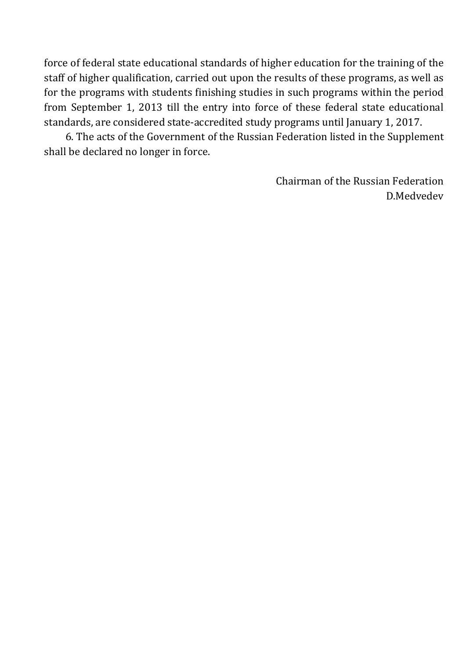force of federal state educational standards of higher education for the training of the staff of higher qualification, carried out upon the results of these programs, as well as for the programs with students finishing studies in such programs within the period from September 1, 2013 till the entry into force of these federal state educational standards, are considered state-accredited study programs until January 1, 2017.

6. The acts of the Government of the Russian Federation listed in the Supplement shall be declared no longer in force.

> Chairman of the Russian Federation D.Medvedev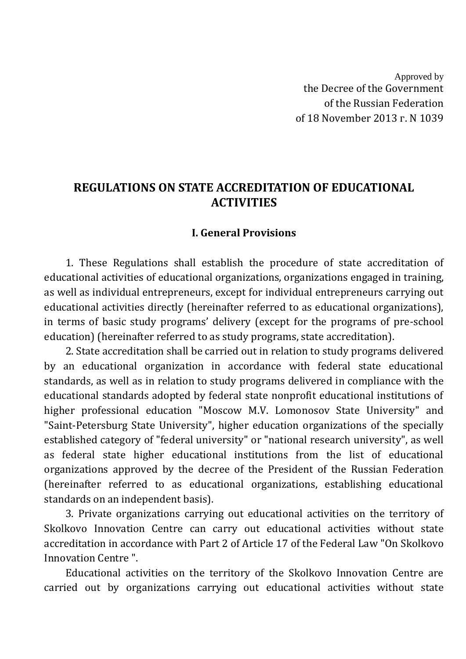Approved by the Decree of the Government of the Russian Federation of 18 November 2013 г. N 1039

# **REGULATIONS ON STATE ACCREDITATION OF EDUCATIONAL ACTIVITIES**

#### **I. General Provisions**

1. These Regulations shall establish the procedure of state accreditation of educational activities of educational organizations, organizations engaged in training, as well as individual entrepreneurs, except for individual entrepreneurs carrying out educational activities directly (hereinafter referred to as educational organizations), in terms of basic study programs' delivery (except for the programs of pre-school education) (hereinafter referred to as study programs, state accreditation).

2. State accreditation shall be carried out in relation to study programs delivered by an educational organization in accordance with federal state educational standards, as well as in relation to study programs delivered in compliance with the educational standards adopted by federal state nonprofit educational institutions of higher professional education "Moscow M.V. Lomonosov State University" and "Saint-Petersburg State University", higher education organizations of the specially established category of "federal university" or "national research university", as well as federal state higher educational institutions from the list of educational organizations approved by the decree of the President of the Russian Federation (hereinafter referred to as educational organizations, establishing educational standards on an independent basis).

3. Private organizations carrying out educational activities on the territory of Skolkovo Innovation Centre can carry out educational activities without state accreditation in accordance with Part 2 of Article 17 of the Federal Law "On Skolkovo Innovation Centre ".

Educational activities on the territory of the Skolkovo Innovation Centre are carried out by organizations carrying out educational activities without state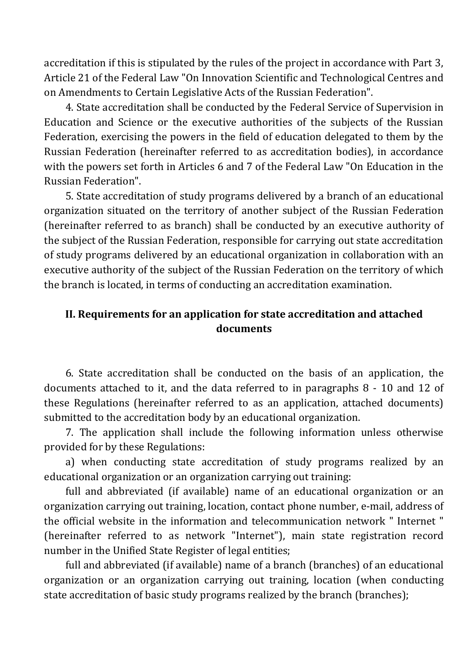accreditation if this is stipulated by the rules of the project in accordance with Part 3, Article 21 of the Federal Law "On Innovation Scientific and Technological Centres and on Amendments to Certain Legislative Acts of the Russian Federation".

4. State accreditation shall be conducted by the Federal Service of Supervision in Education and Science or the executive authorities of the subjects of the Russian Federation, exercising the powers in the field of education delegated to them by the Russian Federation (hereinafter referred to as accreditation bodies), in accordance with the powers set forth in Articles 6 and 7 of the Federal Law "On Education in the Russian Federation".

5. State accreditation of study programs delivered by a branch of an educational organization situated on the territory of another subject of the Russian Federation (hereinafter referred to as branch) shall be conducted by an executive authority of the subject of the Russian Federation, responsible for carrying out state accreditation of study programs delivered by an educational organization in collaboration with an executive authority of the subject of the Russian Federation on the territory of which the branch is located, in terms of conducting an accreditation examination.

### **II. Requirements for an application for state accreditation and attached documents**

6. State accreditation shall be conducted on the basis of an application, the documents attached to it, and the data referred to in paragraphs 8 - 10 and 12 of these Regulations (hereinafter referred to as an application, attached documents) submitted to the accreditation body by an educational organization.

7. The application shall include the following information unless otherwise provided for by these Regulations:

a) when conducting state accreditation of study programs realized by an educational organization or an organization carrying out training:

full and abbreviated (if available) name of an educational organization or an organization carrying out training, location, contact phone number, e-mail, address of the official website in the information and telecommunication network " Internet " (hereinafter referred to as network "Internet"), main state registration record number in the Unified State Register of legal entities;

full and abbreviated (if available) name of a branch (branches) of an educational organization or an organization carrying out training, location (when conducting state accreditation of basic study programs realized by the branch (branches);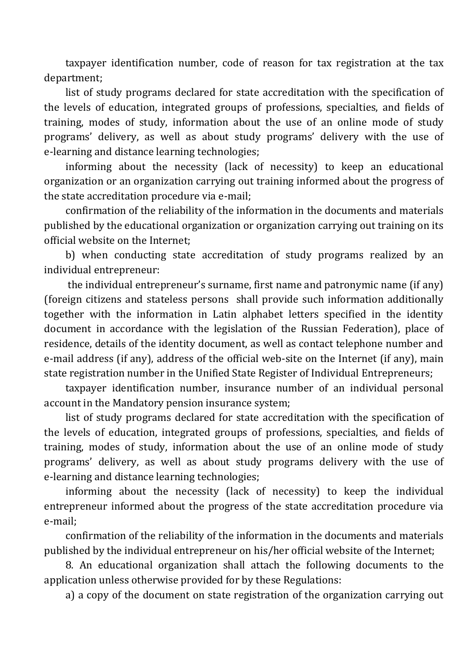taxpayer identification number, code of reason for tax registration at the tax department;

list of study programs declared for state accreditation with the specification of the levels of education, integrated groups of professions, specialties, and fields of training, modes of study, information about the use of an online mode of study programs' delivery, as well as about study programs' delivery with the use of e-learning and distance learning technologies;

informing about the necessity (lack of necessity) to keep an educational organization or an organization carrying out training informed about the progress of the state accreditation procedure via e-mail;

confirmation of the reliability of the information in the documents and materials published by the educational organization or organization carrying out training on its official website on the Internet;

b) when conducting state accreditation of study programs realized by an individual entrepreneur:

the individual entrepreneur's surname, first name and patronymic name (if any) (foreign citizens and stateless persons shall provide such information additionally together with the information in Latin alphabet letters specified in the identity document in accordance with the legislation of the Russian Federation), place of residence, details of the identity document, as well as contact telephone number and e-mail address (if any), address of the official web-site on the Internet (if any), main state registration number in the Unified State Register of Individual Entrepreneurs;

taxpayer identification number, insurance number of an individual personal account in the Mandatory pension insurance system;

list of study programs declared for state accreditation with the specification of the levels of education, integrated groups of professions, specialties, and fields of training, modes of study, information about the use of an online mode of study programs' delivery, as well as about study programs delivery with the use of e-learning and distance learning technologies;

informing about the necessity (lack of necessity) to keep the individual entrepreneur informed about the progress of the state accreditation procedure via e-mail;

confirmation of the reliability of the information in the documents and materials published by the individual entrepreneur on his/her official website of the Internet;

8. An educational organization shall attach the following documents to the application unless otherwise provided for by these Regulations:

a) a copy of the document on state registration of the organization carrying out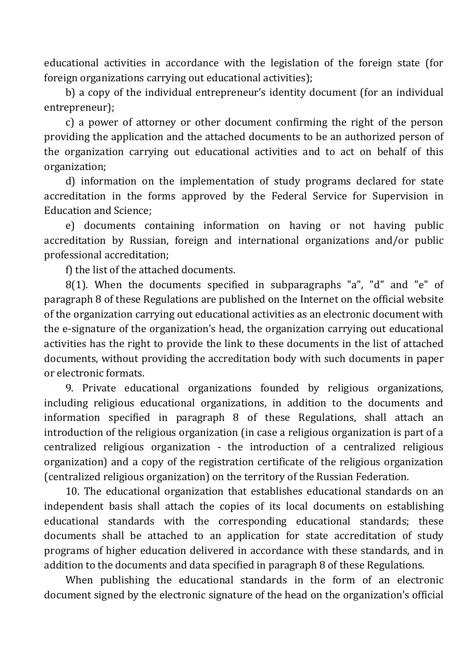educational activities in accordance with the legislation of the foreign state (for foreign organizations carrying out educational activities);

b) a copy of the individual entrepreneur's identity document (for an individual entrepreneur);

c) a power of attorney or other document confirming the right of the person providing the application and the attached documents to be an authorized person of the organization carrying out educational activities and to act on behalf of this organization;

d) information on the implementation of study programs declared for state accreditation in the forms approved by the Federal Service for Supervision in Education and Science;

e) documents containing information on having or not having public accreditation by Russian, foreign and international organizations and/or public professional accreditation;

f) the list of the attached documents.

8(1). When the documents specified in subparagraphs "a", "d" and "e" of paragraph 8 of these Regulations are published on the Internet on the official website of the organization carrying out educational activities as an electronic document with the e-signature of the organization's head, the organization carrying out educational activities has the right to provide the link to these documents in the list of attached documents, without providing the accreditation body with such documents in paper or electronic formats.

9. Private educational organizations founded by religious organizations, including religious educational organizations, in addition to the documents and information specified in paragraph 8 of these Regulations, shall attach an introduction of the religious organization (in case a religious organization is part of a centralized religious organization - the introduction of a centralized religious organization) and a copy of the registration certificate of the religious organization (centralized religious organization) on the territory of the Russian Federation.

10. The educational organization that establishes educational standards on an independent basis shall attach the copies of its local documents on establishing educational standards with the corresponding educational standards; these documents shall be attached to an application for state accreditation of study programs of higher education delivered in accordance with these standards, and in addition to the documents and data specified in paragraph 8 of these Regulations.

When publishing the educational standards in the form of an electronic document signed by the electronic signature of the head on the organization's official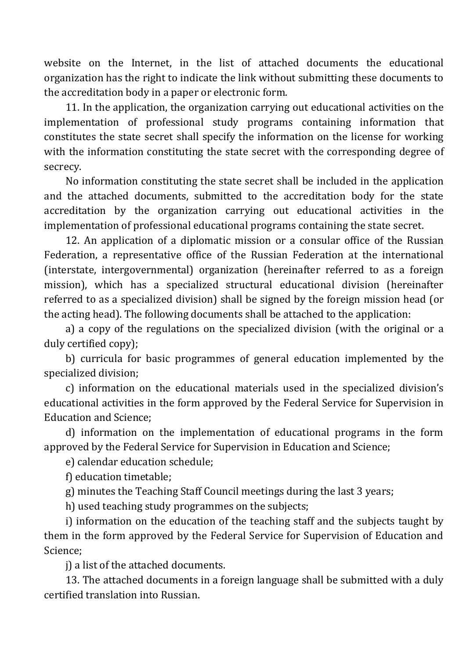website on the Internet, in the list of attached documents the educational organization has the right to indicate the link without submitting these documents to the accreditation body in a paper or electronic form.

11. In the application, the organization carrying out educational activities on the implementation of professional study programs containing information that constitutes the state secret shall specify the information on the license for working with the information constituting the state secret with the corresponding degree of secrecy.

No information constituting the state secret shall be included in the application and the attached documents, submitted to the accreditation body for the state accreditation by the organization carrying out educational activities in the implementation of professional educational programs containing the state secret.

12. An application of a diplomatic mission or a consular office of the Russian Federation, a representative office of the Russian Federation at the international (interstate, intergovernmental) organization (hereinafter referred to as a foreign mission), which has a specialized structural educational division (hereinafter referred to as a specialized division) shall be signed by the foreign mission head (or the acting head). The following documents shall be attached to the application:

a) a copy of the regulations on the specialized division (with the original or a duly certified copy);

b) curricula for basic programmes of general education implemented by the specialized division;

c) information on the educational materials used in the specialized division's educational activities in the form approved by the Federal Service for Supervision in Education and Science;

d) information on the implementation of educational programs in the form approved by the Federal Service for Supervision in Education and Science;

e) calendar education schedule;

f) education timetable;

g) minutes the Teaching Staff Council meetings during the last 3 years;

h) used teaching study programmes on the subjects;

i) information on the education of the teaching staff and the subjects taught by them in the form approved by the Federal Service for Supervision of Education and Science;

j) a list of the attached documents.

13. The attached documents in a foreign language shall be submitted with a duly certified translation into Russian.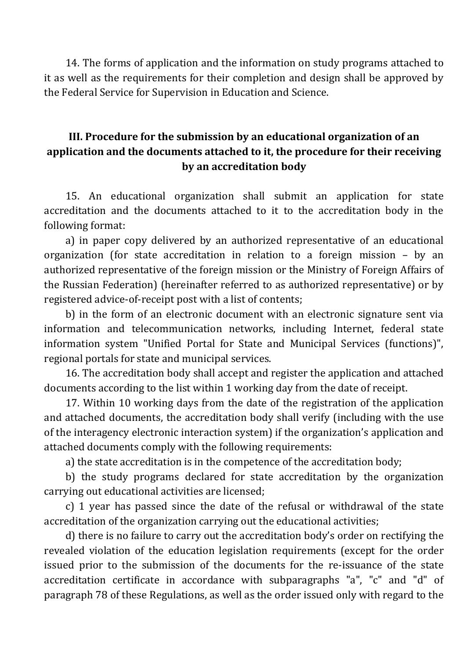14. The forms of application and the information on study programs attached to it as well as the requirements for their completion and design shall be approved by the Federal Service for Supervision in Education and Science.

## **III. Procedure for the submission by an educational organization of an application and the documents attached to it, the procedure for their receiving by an accreditation body**

15. An educational organization shall submit an application for state accreditation and the documents attached to it to the accreditation body in the following format:

a) in paper copy delivered by an authorized representative of an educational organization (for state accreditation in relation to a foreign mission – by an authorized representative of the foreign mission or the Ministry of Foreign Affairs of the Russian Federation) (hereinafter referred to as authorized representative) or by registered advice-of-receipt post with a list of contents;

b) in the form of an electronic document with an electronic signature sent via information and telecommunication networks, including Internet, federal state information system "Unified Portal for State and Municipal Services (functions)", regional portals for state and municipal services.

16. The accreditation body shall accept and register the application and attached documents according to the list within 1 working day from the date of receipt.

17. Within 10 working days from the date of the registration of the application and attached documents, the accreditation body shall verify (including with the use of the interagency electronic interaction system) if the organization's application and attached documents comply with the following requirements:

a) the state accreditation is in the competence of the accreditation body;

b) the study programs declared for state accreditation by the organization carrying out educational activities are licensed;

c) 1 year has passed since the date of the refusal or withdrawal of the state accreditation of the organization carrying out the educational activities;

d) there is no failure to carry out the accreditation body's order on rectifying the revealed violation of the education legislation requirements (except for the order issued prior to the submission of the documents for the re-issuance of the state accreditation certificate in accordance with subparagraphs "a", "c" and "d" of paragraph 78 of these Regulations, as well as the order issued only with regard to the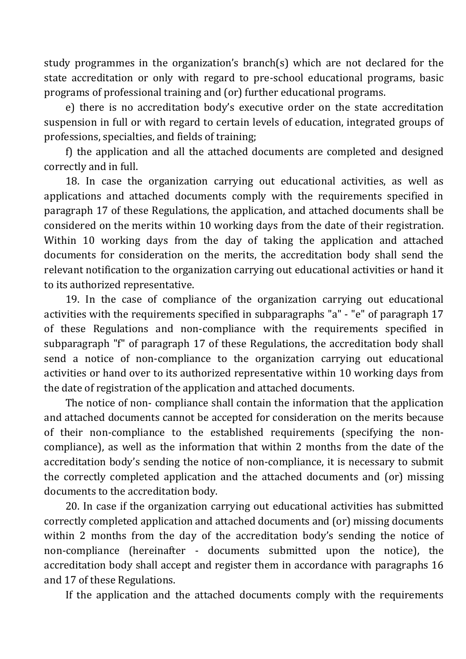study programmes in the organization's branch(s) which are not declared for the state accreditation or only with regard to pre-school educational programs, basic programs of professional training and (or) further educational programs.

e) there is no accreditation body's executive order on the state accreditation suspension in full or with regard to certain levels of education, integrated groups of professions, specialties, and fields of training;

f) the application and all the attached documents are completed and designed correctly and in full.

18. In case the organization carrying out educational activities, as well as applications and attached documents comply with the requirements specified in paragraph 17 of these Regulations, the application, and attached documents shall be considered on the merits within 10 working days from the date of their registration. Within 10 working days from the day of taking the application and attached documents for consideration on the merits, the accreditation body shall send the relevant notification to the organization carrying out educational activities or hand it to its authorized representative.

19. In the case of compliance of the organization carrying out educational activities with the requirements specified in subparagraphs "a" - "e" of paragraph 17 of these Regulations and non-compliance with the requirements specified in subparagraph "f" of paragraph 17 of these Regulations, the accreditation body shall send a notice of non-compliance to the organization carrying out educational activities or hand over to its authorized representative within 10 working days from the date of registration of the application and attached documents.

The notice of non- compliance shall contain the information that the application and attached documents cannot be accepted for consideration on the merits because of their non-compliance to the established requirements (specifying the noncompliance), as well as the information that within 2 months from the date of the accreditation body's sending the notice of non-compliance, it is necessary to submit the correctly completed application and the attached documents and (or) missing documents to the accreditation body.

20. In case if the organization carrying out educational activities has submitted correctly completed application and attached documents and (or) missing documents within 2 months from the day of the accreditation body's sending the notice of non-compliance (hereinafter - documents submitted upon the notice), the accreditation body shall accept and register them in accordance with paragraphs 16 and 17 of these Regulations.

If the application and the attached documents comply with the requirements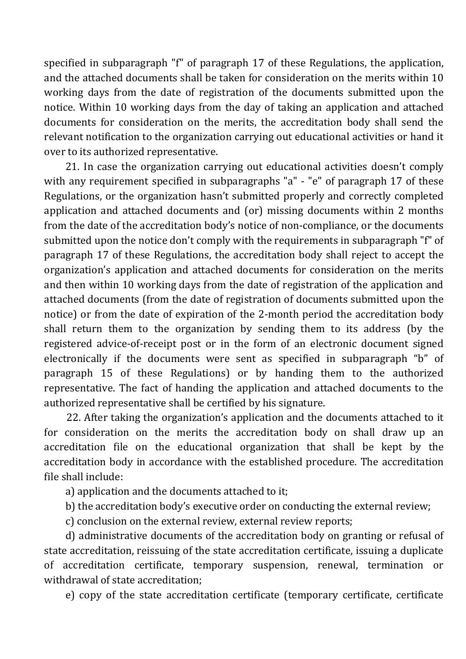specified in subparagraph "f" of paragraph 17 of these Regulations, the application, and the attached documents shall be taken for consideration on the merits within 10 working days from the date of registration of the documents submitted upon the notice. Within 10 working days from the day of taking an application and attached documents for consideration on the merits, the accreditation body shall send the relevant notification to the organization carrying out educational activities or hand it over to its authorized representative.

21. In case the organization carrying out educational activities doesn't comply with any requirement specified in subparagraphs "a" - "e" of paragraph 17 of these Regulations, or the organization hasn't submitted properly and correctly completed application and attached documents and (or) missing documents within 2 months from the date of the accreditation body's notice of non-compliance, or the documents submitted upon the notice don't comply with the requirements in subparagraph "f" of paragraph 17 of these Regulations, the accreditation body shall reject to accept the organization's application and attached documents for consideration on the merits and then within 10 working days from the date of registration of the application and attached documents (from the date of registration of documents submitted upon the notice) or from the date of expiration of the 2-month period the accreditation body shall return them to the organization by sending them to its address (by the registered advice-of-receipt post or in the form of an electronic document signed electronically if the documents were sent as specified in subparagraph "b" of paragraph 15 of these Regulations) or by handing them to the authorized representative. The fact of handing the application and attached documents to the authorized representative shall be certified by his signature.

22. After taking the organization's application and the documents attached to it for consideration on the merits the accreditation body on shall draw up an accreditation file on the educational organization that shall be kept by the accreditation body in accordance with the established procedure. The accreditation file shall include:

a) application and the documents attached to it;

b) the accreditation body's executive order on conducting the external review;

c) conclusion on the external review, external review reports;

d) administrative documents of the accreditation body on granting or refusal of state accreditation, reissuing of the state accreditation certificate, issuing a duplicate of accreditation certificate, temporary suspension, renewal, termination or withdrawal of state accreditation;

e) copy of the state accreditation certificate (temporary certificate, certificate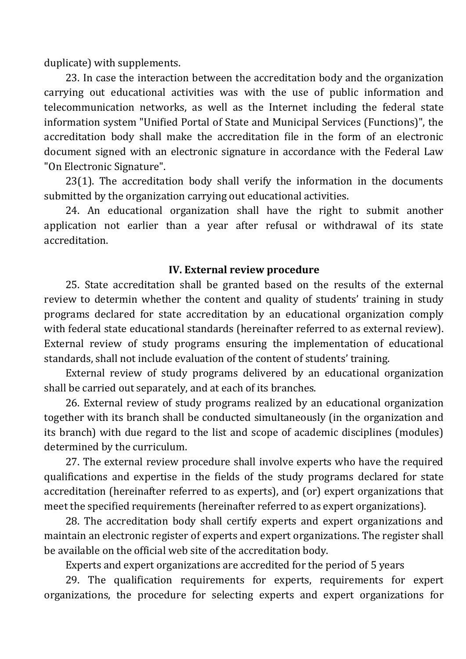duplicate) with supplements.

23. In case the interaction between the accreditation body and the organization carrying out educational activities was with the use of public information and telecommunication networks, as well as the Internet including the federal state information system "Unified Portal of State and Municipal Services (Functions)", the accreditation body shall make the accreditation file in the form of an electronic document signed with an electronic signature in accordance with the Federal Law "On Electronic Signature".

23(1). The accreditation body shall verify the information in the documents submitted by the organization carrying out educational activities.

24. An educational organization shall have the right to submit another application not earlier than a year after refusal or withdrawal of its state accreditation.

#### **IV. External review procedure**

25. State accreditation shall be granted based on the results of the external review to determin whether the content and quality of students' training in study programs declared for state accreditation by an educational organization comply with federal state educational standards (hereinafter referred to as external review). External review of study programs ensuring the implementation of educational standards, shall not include evaluation of the content of students' training.

External review of study programs delivered by an educational organization shall be carried out separately, and at each of its branches.

26. External review of study programs realized by an educational organization together with its branch shall be conducted simultaneously (in the organization and its branch) with due regard to the list and scope of academic disciplines (modules) determined by the curriculum.

27. The external review procedure shall involve experts who have the required qualifications and expertise in the fields of the study programs declared for state accreditation (hereinafter referred to as experts), and (or) expert organizations that meet the specified requirements (hereinafter referred to as expert organizations).

28. The accreditation body shall certify experts and expert organizations and maintain an electronic register of experts and expert organizations. The register shall be available on the official web site of the accreditation body.

Experts and expert organizations are accredited for the period of 5 years

29. The qualification requirements for experts, requirements for expert organizations, the procedure for selecting experts and expert organizations for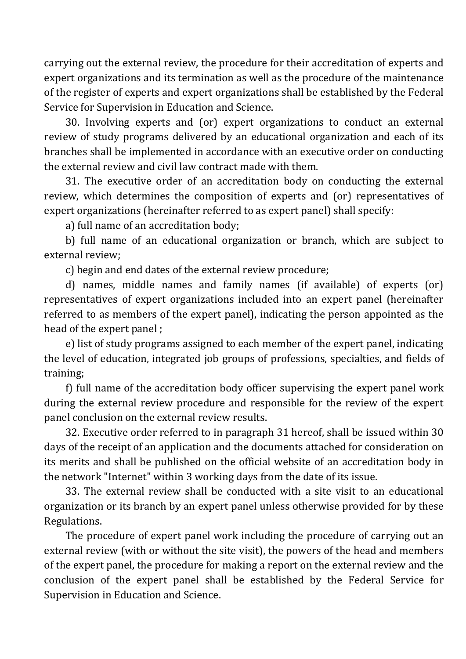carrying out the external review, the procedure for their accreditation of experts and expert organizations and its termination as well as the procedure of the maintenance of the register of experts and expert organizations shall be established by the Federal Service for Supervision in Education and Science.

30. Involving experts and (or) expert organizations to conduct an external review of study programs delivered by an educational organization and each of its branches shall be implemented in accordance with an executive order on conducting the external review and civil law contract made with them.

31. The executive order of an accreditation body on conducting the external review, which determines the composition of experts and (or) representatives of expert organizations (hereinafter referred to as expert panel) shall specify:

a) full name of an accreditation body;

b) full name of an educational organization or branch, which are subject to external review;

c) begin and end dates of the external review procedure;

d) names, middle names and family names (if available) of experts (or) representatives of expert organizations included into an expert panel (hereinafter referred to as members of the expert panel), indicating the person appointed as the head of the expert panel ;

e) list of study programs assigned to each member of the expert panel, indicating the level of education, integrated job groups of professions, specialties, and fields of training;

f) full name of the accreditation body officer supervising the expert panel work during the external review procedure and responsible for the review of the expert panel conclusion on the external review results.

32. Executive order referred to in paragraph 31 hereof, shall be issued within 30 days of the receipt of an application and the documents attached for consideration on its merits and shall be published on the official website of an accreditation body in the network "Internet" within 3 working days from the date of its issue.

33. The external review shall be conducted with a site visit to an educational organization or its branch by an expert panel unless otherwise provided for by these Regulations.

The procedure of expert panel work including the procedure of carrying out an external review (with or without the site visit), the powers of the head and members of the expert panel, the procedure for making a report on the external review and the conclusion of the expert panel shall be established by the Federal Service for Supervision in Education and Science.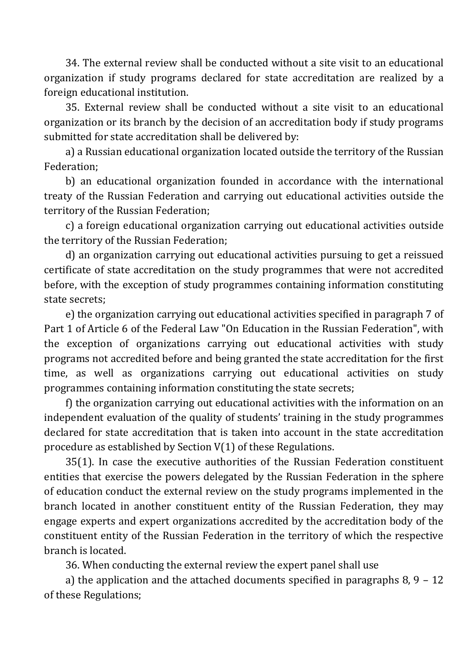34. The external review shall be conducted without a site visit to an educational organization if study programs declared for state accreditation are realized by a foreign educational institution.

35. External review shall be conducted without a site visit to an educational organization or its branch by the decision of an accreditation body if study programs submitted for state accreditation shall be delivered by:

a) a Russian educational organization located outside the territory of the Russian Federation;

b) an educational organization founded in accordance with the international treaty of the Russian Federation and carrying out educational activities outside the territory of the Russian Federation;

c) a foreign educational organization carrying out educational activities outside the territory of the Russian Federation;

d) an organization carrying out educational activities pursuing to get a reissued certificate of state accreditation on the study programmes that were not accredited before, with the exception of study programmes containing information constituting state secrets;

e) the organization carrying out educational activities specified in paragraph 7 of Part 1 of Article 6 of the Federal Law "On Education in the Russian Federation", with the exception of organizations carrying out educational activities with study programs not accredited before and being granted the state accreditation for the first time, as well as organizations carrying out educational activities on study programmes containing information constituting the state secrets;

f) the organization carrying out educational activities with the information on an independent evaluation of the quality of students' training in the study programmes declared for state accreditation that is taken into account in the state accreditation procedure as established by Section V(1) of these Regulations.

35(1). In case the executive authorities of the Russian Federation constituent entities that exercise the powers delegated by the Russian Federation in the sphere of education conduct the external review on the study programs implemented in the branch located in another constituent entity of the Russian Federation, they may engage experts and expert organizations accredited by the accreditation body of the constituent entity of the Russian Federation in the territory of which the respective branch is located.

36. When conducting the external review the expert panel shall use

a) the application and the attached documents specified in paragraphs 8, 9 – 12 of these Regulations;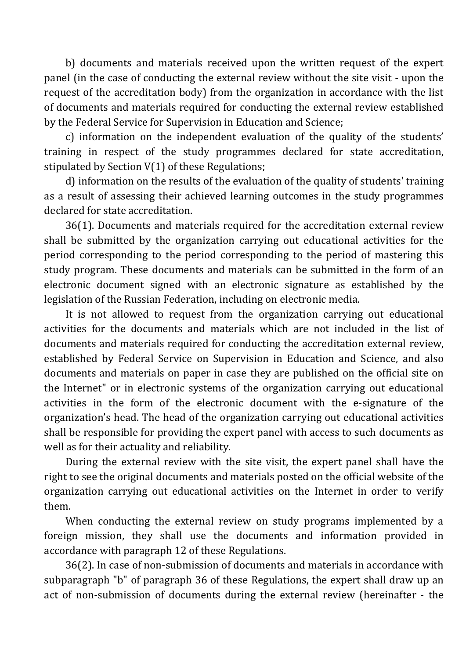b) documents and materials received upon the written request of the expert panel (in the case of conducting the external review without the site visit - upon the request of the accreditation body) from the organization in accordance with the list of documents and materials required for conducting the external review established by the Federal Service for Supervision in Education and Science;

c) information on the independent evaluation of the quality of the students' training in respect of the study programmes declared for state accreditation, stipulated by Section V(1) of these Regulations;

d) information on the results of the evaluation of the quality of students' training as a result of assessing their achieved learning outcomes in the study programmes declared for state accreditation.

36(1). Documents and materials required for the accreditation external review shall be submitted by the organization carrying out educational activities for the period corresponding to the period corresponding to the period of mastering this study program. These documents and materials can be submitted in the form of an electronic document signed with an electronic signature as established by the legislation of the Russian Federation, including on electronic media.

It is not allowed to request from the organization carrying out educational activities for the documents and materials which are not included in the list of documents and materials required for conducting the accreditation external review, established by Federal Service on Supervision in Education and Science, and also documents and materials on paper in case they are published on the official site on the Internet" or in electronic systems of the organization carrying out educational activities in the form of the electronic document with the e-signature of the organization's head. The head of the organization carrying out educational activities shall be responsible for providing the expert panel with access to such documents as well as for their actuality and reliability.

During the external review with the site visit, the expert panel shall have the right to see the original documents and materials posted on the official website of the organization carrying out educational activities on the Internet in order to verify them.

When conducting the external review on study programs implemented by a foreign mission, they shall use the documents and information provided in accordance with paragraph 12 of these Regulations.

36(2). In case of non-submission of documents and materials in accordance with subparagraph "b" of paragraph 36 of these Regulations, the expert shall draw up an act of non-submission of documents during the external review (hereinafter - the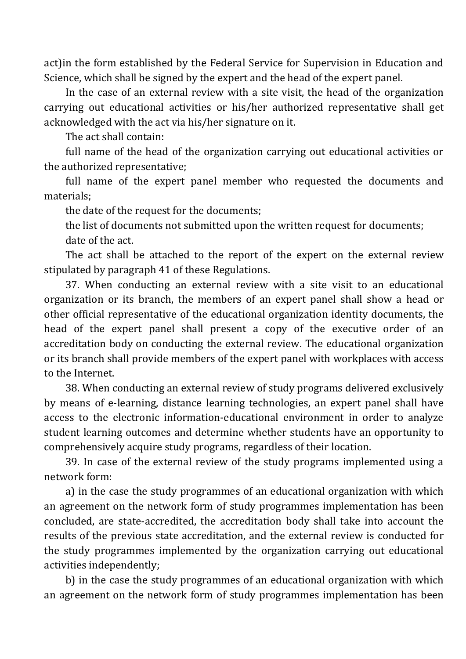act)in the form established by the Federal Service for Supervision in Education and Science, which shall be signed by the expert and the head of the expert panel.

In the case of an external review with a site visit, the head of the organization carrying out educational activities or his/her authorized representative shall get acknowledged with the act via his/her signature on it.

The act shall contain:

full name of the head of the organization carrying out educational activities or the authorized representative;

full name of the expert panel member who requested the documents and materials;

the date of the request for the documents;

the list of documents not submitted upon the written request for documents; date of the act.

The act shall be attached to the report of the expert on the external review stipulated by paragraph 41 of these Regulations.

37. When conducting an external review with a site visit to an educational organization or its branch, the members of an expert panel shall show a head or other official representative of the educational organization identity documents, the head of the expert panel shall present a copy of the executive order of an accreditation body on conducting the external review. The educational organization or its branch shall provide members of the expert panel with workplaces with access to the Internet.

38. When conducting an external review of study programs delivered exclusively by means of e-learning, distance learning technologies, an expert panel shall have access to the electronic information-educational environment in order to analyze student learning outcomes and determine whether students have an opportunity to comprehensively acquire study programs, regardless of their location.

39. In case of the external review of the study programs implemented using a network form:

a) in the case the study programmes of an educational organization with which an agreement on the network form of study programmes implementation has been concluded, are state-accredited, the accreditation body shall take into account the results of the previous state accreditation, and the external review is conducted for the study programmes implemented by the organization carrying out educational activities independently;

b) in the case the study programmes of an educational organization with which an agreement on the network form of study programmes implementation has been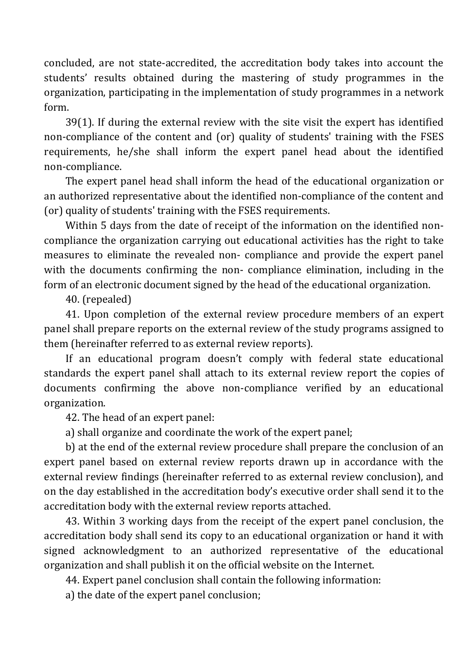concluded, are not state-accredited, the accreditation body takes into account the students' results obtained during the mastering of study programmes in the organization, participating in the implementation of study programmes in a network form.

39(1). If during the external review with the site visit the expert has identified non-compliance of the content and (or) quality of students' training with the FSES requirements, he/she shall inform the expert panel head about the identified non-compliance.

The expert panel head shall inform the head of the educational organization or an authorized representative about the identified non-compliance of the content and (or) quality of students' training with the FSES requirements.

Within 5 days from the date of receipt of the information on the identified noncompliance the organization carrying out educational activities has the right to take measures to eliminate the revealed non- compliance and provide the expert panel with the documents confirming the non-compliance elimination, including in the form of an electronic document signed by the head of the educational organization.

40. (repealed)

41. Upon completion of the external review procedure members of an expert panel shall prepare reports on the external review of the study programs assigned to them (hereinafter referred to as external review reports).

If an educational program doesn't comply with federal state educational standards the expert panel shall attach to its external review report the copies of documents confirming the above non-compliance verified by an educational organization.

42. The head of an expert panel:

a) shall organize and coordinate the work of the expert panel;

b) at the end of the external review procedure shall prepare the conclusion of an expert panel based on external review reports drawn up in accordance with the external review findings (hereinafter referred to as external review conclusion), and on the day established in the accreditation body's executive order shall send it to the accreditation body with the external review reports attached.

43. Within 3 working days from the receipt of the expert panel conclusion, the accreditation body shall send its copy to an educational organization or hand it with signed acknowledgment to an authorized representative of the educational organization and shall publish it on the official website on the Internet.

44. Expert panel conclusion shall contain the following information:

a) the date of the expert panel conclusion;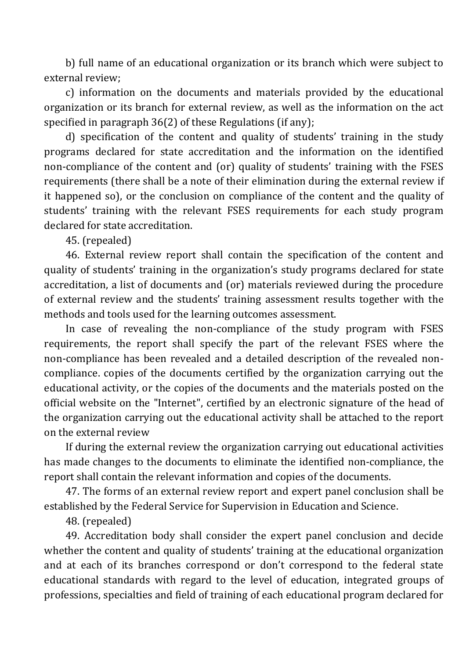b) full name of an educational organization or its branch which were subject to external review;

c) information on the documents and materials provided by the educational organization or its branch for external review, as well as the information on the act specified in paragraph 36(2) of these Regulations (if any);

d) specification of the content and quality of students' training in the study programs declared for state accreditation and the information on the identified non-compliance of the content and (or) quality of students' training with the FSES requirements (there shall be a note of their elimination during the external review if it happened so), or the conclusion on compliance of the content and the quality of students' training with the relevant FSES requirements for each study program declared for state accreditation.

45. (repealed)

46. External review report shall contain the specification of the content and quality of students' training in the organization's study programs declared for state accreditation, a list of documents and (or) materials reviewed during the procedure of external review and the students' training assessment results together with the methods and tools used for the learning outcomes assessment.

In case of revealing the non-compliance of the study program with FSES requirements, the report shall specify the part of the relevant FSES where the non-compliance has been revealed and a detailed description of the revealed noncompliance. copies of the documents certified by the organization carrying out the educational activity, or the copies of the documents and the materials posted on the official website on the "Internet", certified by an electronic signature of the head of the organization carrying out the educational activity shall be attached to the report on the external review

If during the external review the organization carrying out educational activities has made changes to the documents to eliminate the identified non-compliance, the report shall contain the relevant information and copies of the documents.

47. The forms of an external review report and expert panel conclusion shall be established by the Federal Service for Supervision in Education and Science.

48. (repealed)

49. Accreditation body shall consider the expert panel conclusion and decide whether the content and quality of students' training at the educational organization and at each of its branches correspond or don't correspond to the federal state educational standards with regard to the level of education, integrated groups of professions, specialties and field of training of each educational program declared for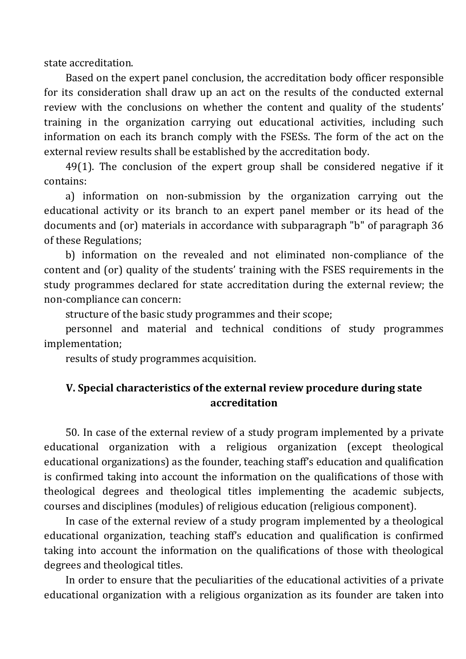state accreditation.

Based on the expert panel conclusion, the accreditation body officer responsible for its consideration shall draw up an act on the results of the conducted external review with the conclusions on whether the content and quality of the students' training in the organization carrying out educational activities, including such information on each its branch comply with the FSESs. The form of the act on the external review results shall be established by the accreditation body.

49(1). The conclusion of the expert group shall be considered negative if it contains:

a) information on non-submission by the organization carrying out the educational activity or its branch to an expert panel member or its head of the documents and (or) materials in accordance with subparagraph "b" of paragraph 36 of these Regulations;

b) information on the revealed and not eliminated non-compliance of the content and (or) quality of the students' training with the FSES requirements in the study programmes declared for state accreditation during the external review; the non-compliance can concern:

structure of the basic study programmes and their scope;

personnel and material and technical conditions of study programmes implementation;

results of study programmes acquisition.

### **V. Special characteristics of the external review procedure during state accreditation**

50. In case of the external review of a study program implemented by a private educational organization with a religious organization (except theological educational organizations) as the founder, teaching staff's education and qualification is confirmed taking into account the information on the qualifications of those with theological degrees and theological titles implementing the academic subjects, courses and disciplines (modules) of religious education (religious component).

In case of the external review of a study program implemented by a theological educational organization, teaching staff's education and qualification is confirmed taking into account the information on the qualifications of those with theological degrees and theological titles.

In order to ensure that the peculiarities of the educational activities of a private educational organization with a religious organization as its founder are taken into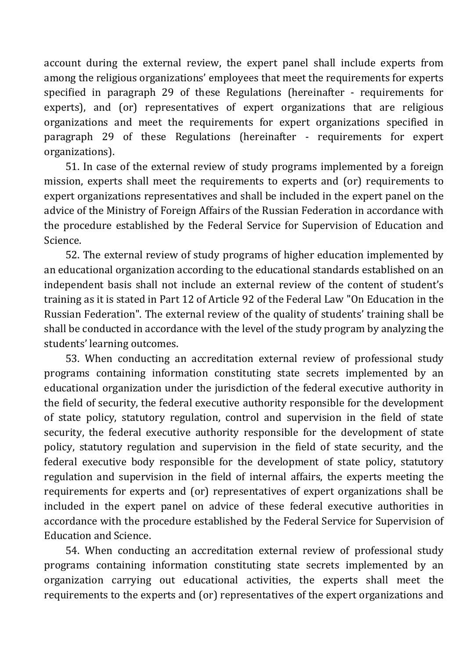account during the external review, the expert panel shall include experts from among the religious organizations' employees that meet the requirements for experts specified in paragraph 29 of these Regulations (hereinafter - requirements for experts), and (or) representatives of expert organizations that are religious organizations and meet the requirements for expert organizations specified in paragraph 29 of these Regulations (hereinafter - requirements for expert organizations).

51. In case of the external review of study programs implemented by a foreign mission, experts shall meet the requirements to experts and (or) requirements to expert organizations representatives and shall be included in the expert panel on the advice of the Ministry of Foreign Affairs of the Russian Federation in accordance with the procedure established by the Federal Service for Supervision of Education and Science.

52. The external review of study programs of higher education implemented by an educational organization according to the educational standards established on an independent basis shall not include an external review of the content of student's training as it is stated in Part 12 of Article 92 of the Federal Law "On Education in the Russian Federation". The external review of the quality of students' training shall be shall be conducted in accordance with the level of the study program by analyzing the students' learning outcomes.

53. When conducting an accreditation external review of professional study programs containing information constituting state secrets implemented by an educational organization under the jurisdiction of the federal executive authority in the field of security, the federal executive authority responsible for the development of state policy, statutory regulation, control and supervision in the field of state security, the federal executive authority responsible for the development of state policy, statutory regulation and supervision in the field of state security, and the federal executive body responsible for the development of state policy, statutory regulation and supervision in the field of internal affairs, the experts meeting the requirements for experts and (or) representatives of expert organizations shall be included in the expert panel on advice of these federal executive authorities in accordance with the procedure established by the Federal Service for Supervision of Education and Science.

54. When conducting an accreditation external review of professional study programs containing information constituting state secrets implemented by an organization carrying out educational activities, the experts shall meet the requirements to the experts and (or) representatives of the expert organizations and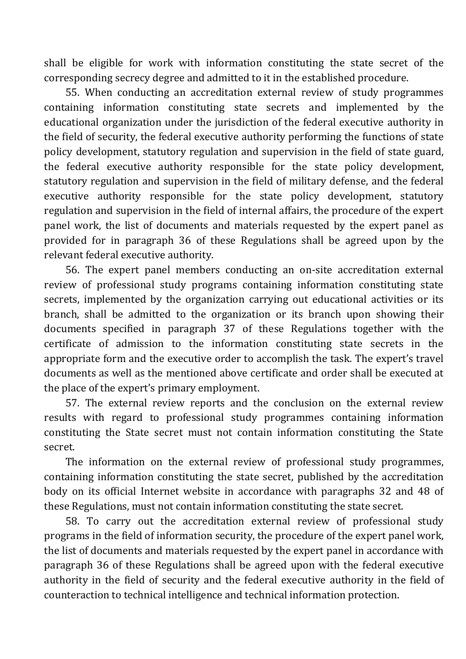shall be eligible for work with information constituting the state secret of the corresponding secrecy degree and admitted to it in the established procedure.

55. When conducting an accreditation external review of study programmes containing information constituting state secrets and implemented by the educational organization under the jurisdiction of the federal executive authority in the field of security, the federal executive authority performing the functions of state policy development, statutory regulation and supervision in the field of state guard, the federal executive authority responsible for the state policy development, statutory regulation and supervision in the field of military defense, and the federal executive authority responsible for the state policy development, statutory regulation and supervision in the field of internal affairs, the procedure of the expert panel work, the list of documents and materials requested by the expert panel as provided for in paragraph 36 of these Regulations shall be agreed upon by the relevant federal executive authority.

56. The expert panel members conducting an on-site accreditation external review of professional study programs containing information constituting state secrets, implemented by the organization carrying out educational activities or its branch, shall be admitted to the organization or its branch upon showing their documents specified in paragraph 37 of these Regulations together with the certificate of admission to the information constituting state secrets in the appropriate form and the executive order to accomplish the task. The expert's travel documents as well as the mentioned above certificate and order shall be executed at the place of the expert's primary employment.

57. The external review reports and the conclusion on the external review results with regard to professional study programmes containing information constituting the State secret must not contain information constituting the State secret.

The information on the external review of professional study programmes, containing information constituting the state secret, published by the accreditation body on its official Internet website in accordance with paragraphs 32 and 48 of these Regulations, must not contain information constituting the state secret.

58. To carry out the accreditation external review of professional study programs in the field of information security, the procedure of the expert panel work, the list of documents and materials requested by the expert panel in accordance with paragraph 36 of these Regulations shall be agreed upon with the federal executive authority in the field of security and the federal executive authority in the field of counteraction to technical intelligence and technical information protection.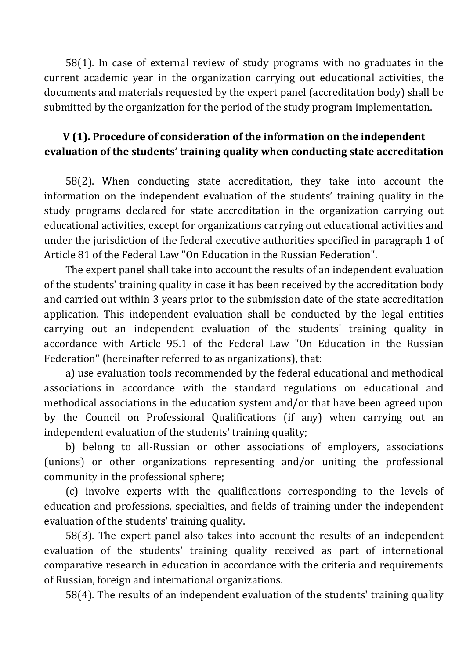58(1). In case of external review of study programs with no graduates in the current academic year in the organization carrying out educational activities, the documents and materials requested by the expert panel (accreditation body) shall be submitted by the organization for the period of the study program implementation.

## **V (1). Procedure of consideration of the information on the independent evaluation of the students' training quality when conducting state accreditation**

58(2). When conducting state accreditation, they take into account the information on the independent evaluation of the students' training quality in the study programs declared for state accreditation in the organization carrying out educational activities, except for organizations carrying out educational activities and under the jurisdiction of the federal executive authorities specified in paragraph 1 of Article 81 of the Federal Law "On Education in the Russian Federation".

The expert panel shall take into account the results of an independent evaluation of the students' training quality in case it has been received by the accreditation body and carried out within 3 years prior to the submission date of the state accreditation application. This independent evaluation shall be conducted by the legal entities carrying out an independent evaluation of the students' training quality in accordance with Article 95.1 of the Federal Law "On Education in the Russian Federation" (hereinafter referred to as organizations), that:

a) use evaluation tools recommended by the federal educational and methodical associations in accordance with the standard regulations on educational and methodical associations in the education system and/or that have been agreed upon by the Council on Professional Qualifications (if any) when carrying out an independent evaluation of the students' training quality;

b) belong to all-Russian or other associations of employers, associations (unions) or other organizations representing and/or uniting the professional community in the professional sphere;

(c) involve experts with the qualifications corresponding to the levels of education and professions, specialties, and fields of training under the independent evaluation of the students' training quality.

58(3). The expert panel also takes into account the results of an independent evaluation of the students' training quality received as part of international comparative research in education in accordance with the criteria and requirements of Russian, foreign and international organizations.

58(4). The results of an independent evaluation of the students' training quality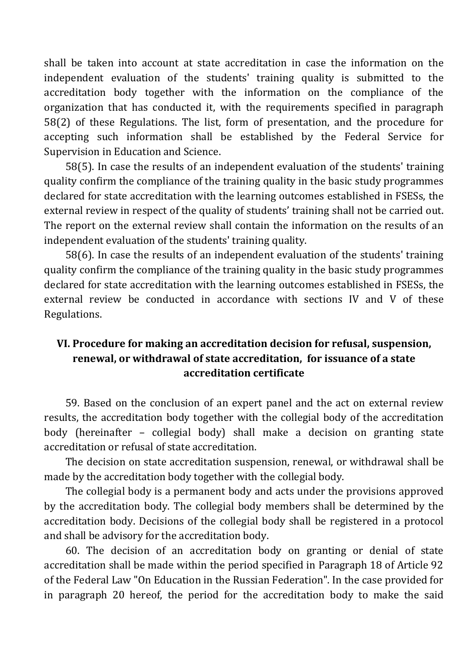shall be taken into account at state accreditation in case the information on the independent evaluation of the students' training quality is submitted to the accreditation body together with the information on the compliance of the organization that has conducted it, with the requirements specified in paragraph 58(2) of these Regulations. The list, form of presentation, and the procedure for accepting such information shall be established by the Federal Service for Supervision in Education and Science.

58(5). In case the results of an independent evaluation of the students' training quality confirm the compliance of the training quality in the basic study programmes declared for state accreditation with the learning outcomes established in FSESs, the external review in respect of the quality of students' training shall not be carried out. The report on the external review shall contain the information on the results of an independent evaluation of the students' training quality.

58(6). In case the results of an independent evaluation of the students' training quality confirm the compliance of the training quality in the basic study programmes declared for state accreditation with the learning outcomes established in FSESs, the external review be conducted in accordance with sections IV and V of these Regulations.

## **VI. Procedure for making an accreditation decision for refusal, suspension, renewal, or withdrawal of state accreditation, for issuance of a state accreditation certificate**

59. Based on the conclusion of an expert panel and the act on external review results, the accreditation body together with the collegial body of the accreditation body (hereinafter – collegial body) shall make a decision on granting state accreditation or refusal of state accreditation.

The decision on state accreditation suspension, renewal, or withdrawal shall be made by the accreditation body together with the collegial body.

The collegial body is a permanent body and acts under the provisions approved by the accreditation body. The collegial body members shall be determined by the accreditation body. Decisions of the collegial body shall be registered in a protocol and shall be advisory for the accreditation body.

60. The decision of an accreditation body on granting or denial of state accreditation shall be made within the period specified in Paragraph 18 of Article 92 of the Federal Law "On Education in the Russian Federation". In the case provided for in paragraph 20 hereof, the period for the accreditation body to make the said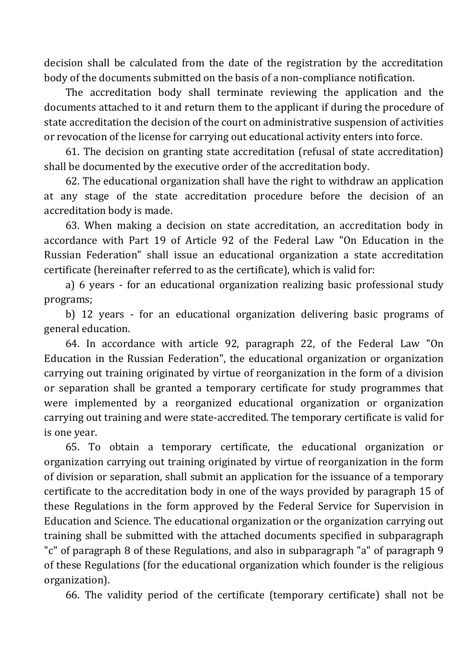decision shall be calculated from the date of the registration by the accreditation body of the documents submitted on the basis of a non-compliance notification.

The accreditation body shall terminate reviewing the application and the documents attached to it and return them to the applicant if during the procedure of state accreditation the decision of the court on administrative suspension of activities or revocation of the license for carrying out educational activity enters into force.

61. The decision on granting state accreditation (refusal of state accreditation) shall be documented by the executive order of the accreditation body.

62. The educational organization shall have the right to withdraw an application at any stage of the state accreditation procedure before the decision of an accreditation body is made.

63. When making a decision on state accreditation, an accreditation body in accordance with Part 19 of Article 92 of the Federal Law "On Education in the Russian Federation" shall issue an educational organization a state accreditation certificate (hereinafter referred to as the certificate), which is valid for:

a) 6 years - for an educational organization realizing basic professional study programs;

b) 12 years - for an educational organization delivering basic programs of general education.

64. In accordance with article 92, paragraph 22, of the Federal Law "On Education in the Russian Federation", the educational organization or organization carrying out training originated by virtue of reorganization in the form of a division or separation shall be granted a temporary certificate for study programmes that were implemented by a reorganized educational organization or organization carrying out training and were state-accredited. The temporary certificate is valid for is one year.

65. To obtain a temporary certificate, the educational organization or organization carrying out training originated by virtue of reorganization in the form of division or separation, shall submit an application for the issuance of a temporary certificate to the accreditation body in one of the ways provided by paragraph 15 of these Regulations in the form approved by the Federal Service for Supervision in Education and Science. The educational organization or the organization carrying out training shall be submitted with the attached documents specified in subparagraph "c" of paragraph 8 of these Regulations, and also in subparagraph "a" of paragraph 9 of these Regulations (for the educational organization which founder is the religious organization).

66. The validity period of the certificate (temporary certificate) shall not be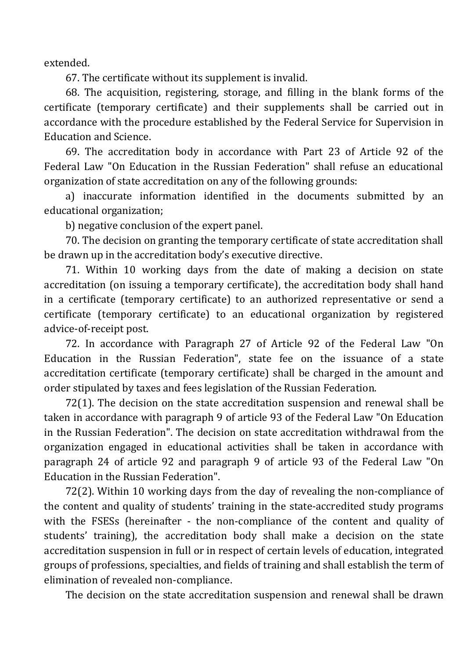extended.

67. The certificate without its supplement is invalid.

68. The acquisition, registering, storage, and filling in the blank forms of the certificate (temporary certificate) and their supplements shall be carried out in accordance with the procedure established by the Federal Service for Supervision in Education and Science.

69. The accreditation body in accordance with Part 23 of Article 92 of the Federal Law "On Education in the Russian Federation" shall refuse an educational organization of state accreditation on any of the following grounds:

a) inaccurate information identified in the documents submitted by an educational organization;

b) negative conclusion of the expert panel.

70. The decision on granting the temporary certificate of state accreditation shall be drawn up in the accreditation body's executive directive.

71. Within 10 working days from the date of making a decision on state accreditation (on issuing a temporary certificate), the accreditation body shall hand in a certificate (temporary certificate) to an authorized representative or send a certificate (temporary certificate) to an educational organization by registered advice-of-receipt post.

72. In accordance with Paragraph 27 of Article 92 of the Federal Law "On Education in the Russian Federation", state fee on the issuance of a state accreditation certificate (temporary certificate) shall be charged in the amount and order stipulated by taxes and fees legislation of the Russian Federation.

72(1). The decision on the state accreditation suspension and renewal shall be taken in accordance with paragraph 9 of article 93 of the Federal Law "On Education in the Russian Federation". The decision on state accreditation withdrawal from the organization engaged in educational activities shall be taken in accordance with paragraph 24 of article 92 and paragraph 9 of article 93 of the Federal Law "On Education in the Russian Federation".

72(2). Within 10 working days from the day of revealing the non-compliance of the content and quality of students' training in the state-accredited study programs with the FSESs (hereinafter - the non-compliance of the content and quality of students' training), the accreditation body shall make a decision on the state accreditation suspension in full or in respect of certain levels of education, integrated groups of professions, specialties, and fields of training and shall establish the term of elimination of revealed non-compliance.

The decision on the state accreditation suspension and renewal shall be drawn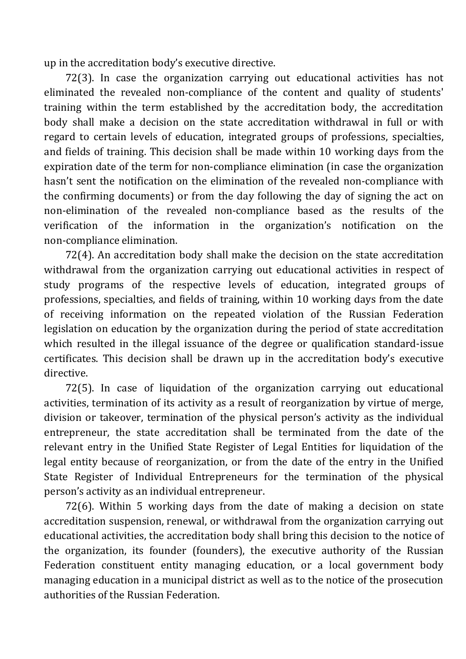up in the accreditation body's executive directive.

72(3). In case the organization carrying out educational activities has not eliminated the revealed non-compliance of the content and quality of students' training within the term established by the accreditation body, the accreditation body shall make a decision on the state accreditation withdrawal in full or with regard to certain levels of education, integrated groups of professions, specialties, and fields of training. This decision shall be made within 10 working days from the expiration date of the term for non-compliance elimination (in case the organization hasn't sent the notification on the elimination of the revealed non-compliance with the confirming documents) or from the day following the day of signing the act on non-elimination of the revealed non-compliance based as the results of the verification of the information in the organization's notification on the non-compliance elimination.

72(4). An accreditation body shall make the decision on the state accreditation withdrawal from the organization carrying out educational activities in respect of study programs of the respective levels of education, integrated groups of professions, specialties, and fields of training, within 10 working days from the date of receiving information on the repeated violation of the Russian Federation legislation on education by the organization during the period of state accreditation which resulted in the illegal issuance of the degree or qualification standard-issue certificates. This decision shall be drawn up in the accreditation body's executive directive.

72(5). In case of liquidation of the organization carrying out educational activities, termination of its activity as a result of reorganization by virtue of merge, division or takeover, termination of the physical person's activity as the individual entrepreneur, the state accreditation shall be terminated from the date of the relevant entry in the Unified State Register of Legal Entities for liquidation of the legal entity because of reorganization, or from the date of the entry in the Unified State Register of Individual Entrepreneurs for the termination of the physical person's activity as an individual entrepreneur.

72(6). Within 5 working days from the date of making a decision on state accreditation suspension, renewal, or withdrawal from the organization carrying out educational activities, the accreditation body shall bring this decision to the notice of the organization, its founder (founders), the executive authority of the Russian Federation constituent entity managing education, or a local government body managing education in a municipal district as well as to the notice of the prosecution authorities of the Russian Federation.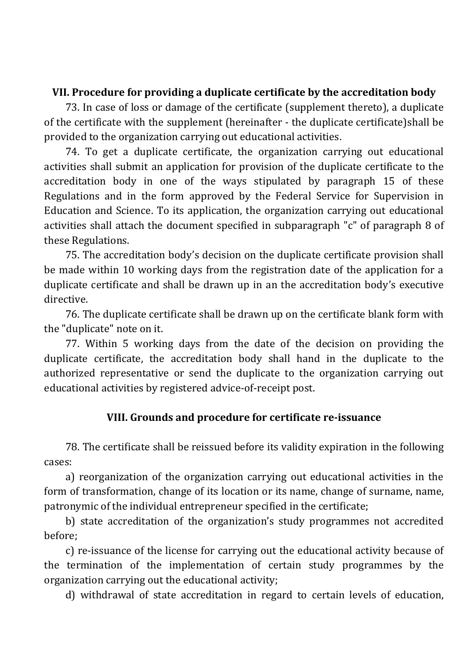### **VII. Procedure for providing a duplicate certificate by the accreditation body**

73. In case of loss or damage of the certificate (supplement thereto), a duplicate of the certificate with the supplement (hereinafter - the duplicate certificate)shall be provided to the organization carrying out educational activities.

74. To get a duplicate certificate, the organization carrying out educational activities shall submit an application for provision of the duplicate certificate to the accreditation body in one of the ways stipulated by paragraph 15 of these Regulations and in the form approved by the Federal Service for Supervision in Education and Science. To its application, the organization carrying out educational activities shall attach the document specified in subparagraph "c" of paragraph 8 of these Regulations.

75. The accreditation body's decision on the duplicate certificate provision shall be made within 10 working days from the registration date of the application for a duplicate certificate and shall be drawn up in an the accreditation body's executive directive.

76. The duplicate certificate shall be drawn up on the certificate blank form with the "duplicate" note on it.

77. Within 5 working days from the date of the decision on providing the duplicate certificate, the accreditation body shall hand in the duplicate to the authorized representative or send the duplicate to the organization carrying out educational activities by registered advice-of-receipt post.

#### **VIII. Grounds and procedure for certificate re-issuance**

78. The certificate shall be reissued before its validity expiration in the following cases:

a) reorganization of the organization carrying out educational activities in the form of transformation, change of its location or its name, change of surname, name, patronymic of the individual entrepreneur specified in the certificate;

b) state accreditation of the organization's study programmes not accredited before;

c) re-issuance of the license for carrying out the educational activity because of the termination of the implementation of certain study programmes by the organization carrying out the educational activity;

d) withdrawal of state accreditation in regard to certain levels of education,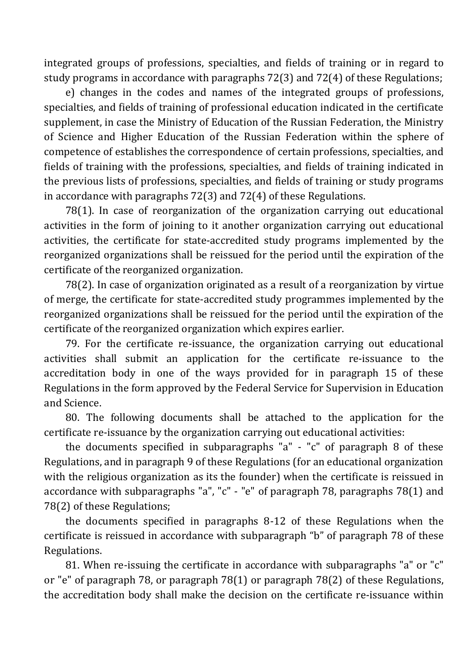integrated groups of professions, specialties, and fields of training or in regard to study programs in accordance with paragraphs 72(3) and 72(4) of these Regulations;

e) changes in the codes and names of the integrated groups of professions, specialties, and fields of training of professional education indicated in the certificate supplement, in case the Ministry of Education of the Russian Federation, the Ministry of Science and Higher Education of the Russian Federation within the sphere of competence of establishes the correspondence of certain professions, specialties, and fields of training with the professions, specialties, and fields of training indicated in the previous lists of professions, specialties, and fields of training or study programs in accordance with paragraphs 72(3) and 72(4) of these Regulations.

78(1). In case of reorganization of the organization carrying out educational activities in the form of joining to it another organization carrying out educational activities, the certificate for state-accredited study programs implemented by the reorganized organizations shall be reissued for the period until the expiration of the certificate of the reorganized organization.

78(2). In case of organization originated as a result of a reorganization by virtue of merge, the certificate for state-accredited study programmes implemented by the reorganized organizations shall be reissued for the period until the expiration of the certificate of the reorganized organization which expires earlier.

79. For the certificate re-issuance, the organization carrying out educational activities shall submit an application for the certificate re-issuance to the accreditation body in one of the ways provided for in paragraph 15 of these Regulations in the form approved by the Federal Service for Supervision in Education and Science.

80. The following documents shall be attached to the application for the certificate re-issuance by the organization carrying out educational activities:

the documents specified in subparagraphs "a" - "c" of paragraph 8 of these Regulations, and in paragraph 9 of these Regulations (for an educational organization with the religious organization as its the founder) when the certificate is reissued in accordance with subparagraphs "a", "c" - "e" of paragraph 78, paragraphs 78(1) and 78(2) of these Regulations;

the documents specified in paragraphs 8-12 of these Regulations when the certificate is reissued in accordance with subparagraph "b" of paragraph 78 of these Regulations.

81. When re-issuing the certificate in accordance with subparagraphs "a" or "c" or "e" of paragraph 78, or paragraph 78(1) or paragraph 78(2) of these Regulations, the accreditation body shall make the decision on the certificate re-issuance within